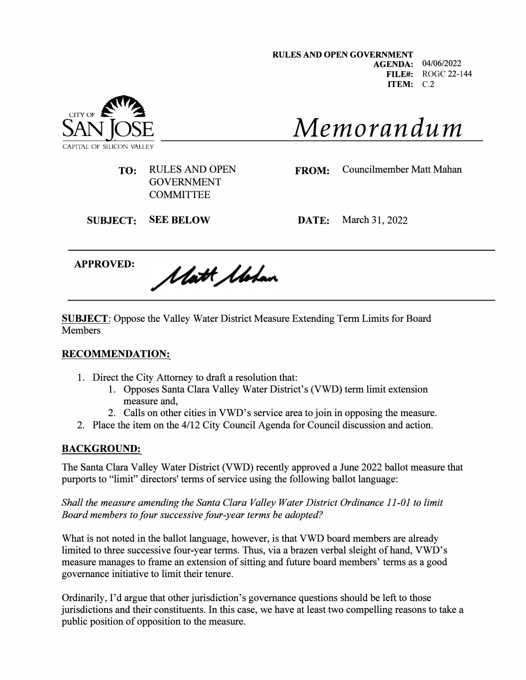**RULES AND OPEN GOVERNMENT**  04/06/2022 **AGENDA:**  ROGC 22-144 **FILE#: ITEM:** C.2



*Memorandum* 

**FROM:** Councilmember Matt Mahan

**SUBJECT: SEE BELOW** 

**TO:** RULES AND OPEN GOVERNMENT COMMITTEE

**DATE:** March 31, 2022

**APPROVED:** 

Matt Mohan

**SUBJECT:** Oppose the Valley Water District Measure Extending Term Limits for Board **Members** 

## **RECOMMENDATION:**

- 1. Direct the City Attorney to draft a resolution that:
	- 1. Opposes Santa Clara Valley Water District's (VWD) term limit extension measure and,
	- 2. Calls on other cities in VWD's service area to join in opposing the measure.
- 2. Place the item on the 4/12 City Council Agenda for Council discussion and action.

## **BACKGROUND:**

The Santa Clara Valley Water District (VWD) recently approved a June 2022 ballot measure that purports to "limit" directors' terms of service using the following ballot language:

*Shall the measure amending the Santa Clara Valley Water District Ordinance 11-01 to limit Board members to four successive four-year terms be adopted?* 

What is not noted in the ballot language, however, is that VWD board members are already limited to three successive four-year terms. Thus, via a brazen verbal sleight of hand, VWD's measure manages to frame an extension of sitting and future board members' terms as a good governance initiative to limit their tenure.

Ordinarily, I'd argue that other jurisdiction's governance questions should be left to those jurisdictions and their constituents. In this case, we have at least two compelling reasons to take a public position of opposition to the measure.